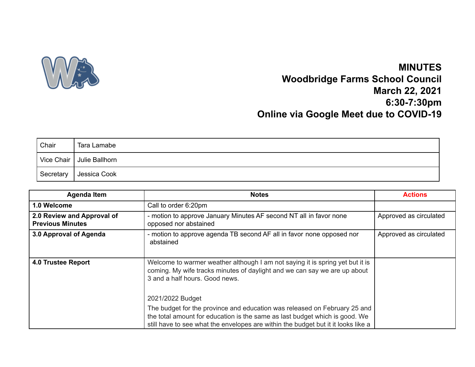

## **MINUTES Woodbridge Farms School Council March 22, 2021 6:30-7:30pm Online via Google Meet due to COVID-19**

| Chair      | Tara Lamabe    |
|------------|----------------|
| Vice Chair | Julie Ballhorn |
| Secretary  | Jessica Cook   |

| <b>Agenda Item</b>                                    | <b>Notes</b>                                                                                                                                                                                                                                  | <b>Actions</b>         |
|-------------------------------------------------------|-----------------------------------------------------------------------------------------------------------------------------------------------------------------------------------------------------------------------------------------------|------------------------|
| 1.0 Welcome                                           | Call to order 6:20pm                                                                                                                                                                                                                          |                        |
| 2.0 Review and Approval of<br><b>Previous Minutes</b> | - motion to approve January Minutes AF second NT all in favor none<br>opposed nor abstained                                                                                                                                                   | Approved as circulated |
| 3.0 Approval of Agenda                                | - motion to approve agenda TB second AF all in favor none opposed nor<br>abstained                                                                                                                                                            | Approved as circulated |
| 4.0 Trustee Report                                    | Welcome to warmer weather although I am not saying it is spring yet but it is<br>coming. My wife tracks minutes of daylight and we can say we are up about<br>3 and a half hours. Good news.<br>2021/2022 Budget                              |                        |
|                                                       | The budget for the province and education was released on February 25 and<br>the total amount for education is the same as last budget which is good. We<br>still have to see what the envelopes are within the budget but it it looks like a |                        |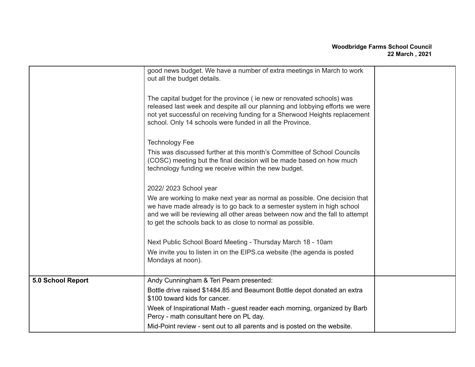## **Woodbridge Farms School Council 22 March , 2021**

|                   | good news budget. We have a number of extra meetings in March to work<br>out all the budget details.<br>The capital budget for the province (ie new or renovated schools) was<br>released last week and despite all our planning and lobbying efforts we were<br>not yet successful on receiving funding for a Sherwood Heights replacement<br>school. Only 14 schools were funded in all the Province.<br><b>Technology Fee</b><br>This was discussed further at this month's Committee of School Councils<br>(COSC) meeting but the final decision will be made based on how much<br>technology funding we receive within the new budget.<br>2022/2023 School year<br>We are working to make next year as normal as possible. One decision that<br>we have made already is to go back to a semester system in high school<br>and we will be reviewing all other areas between now and the fall to attempt<br>to get the schools back to as close to normal as possible.<br>Next Public School Board Meeting - Thursday March 18 - 10am<br>We invite you to listen in on the EIPS ca website (the agenda is posted<br>Mondays at noon). |  |
|-------------------|------------------------------------------------------------------------------------------------------------------------------------------------------------------------------------------------------------------------------------------------------------------------------------------------------------------------------------------------------------------------------------------------------------------------------------------------------------------------------------------------------------------------------------------------------------------------------------------------------------------------------------------------------------------------------------------------------------------------------------------------------------------------------------------------------------------------------------------------------------------------------------------------------------------------------------------------------------------------------------------------------------------------------------------------------------------------------------------------------------------------------------------|--|
|                   |                                                                                                                                                                                                                                                                                                                                                                                                                                                                                                                                                                                                                                                                                                                                                                                                                                                                                                                                                                                                                                                                                                                                          |  |
| 5.0 School Report | Andy Cunningham & Teri Pearn presented:                                                                                                                                                                                                                                                                                                                                                                                                                                                                                                                                                                                                                                                                                                                                                                                                                                                                                                                                                                                                                                                                                                  |  |
|                   | Bottle drive raised \$1484.85 and Beaumont Bottle depot donated an extra<br>\$100 toward kids for cancer.                                                                                                                                                                                                                                                                                                                                                                                                                                                                                                                                                                                                                                                                                                                                                                                                                                                                                                                                                                                                                                |  |
|                   | Week of Inspirational Math - guest reader each morning, organized by Barb<br>Percy - math consultant here on PL day.                                                                                                                                                                                                                                                                                                                                                                                                                                                                                                                                                                                                                                                                                                                                                                                                                                                                                                                                                                                                                     |  |
|                   | Mid-Point review - sent out to all parents and is posted on the website.                                                                                                                                                                                                                                                                                                                                                                                                                                                                                                                                                                                                                                                                                                                                                                                                                                                                                                                                                                                                                                                                 |  |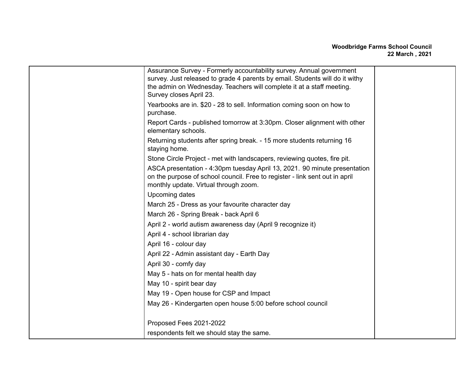| Assurance Survey - Formerly accountability survey. Annual government<br>survey. Just released to grade 4 parents by email. Students will do it withy<br>the admin on Wednesday. Teachers will complete it at a staff meeting.<br>Survey closes April 23. |  |
|----------------------------------------------------------------------------------------------------------------------------------------------------------------------------------------------------------------------------------------------------------|--|
| Yearbooks are in. \$20 - 28 to sell. Information coming soon on how to<br>purchase.                                                                                                                                                                      |  |
| Report Cards - published tomorrow at 3:30pm. Closer alignment with other<br>elementary schools.                                                                                                                                                          |  |
| Returning students after spring break. - 15 more students returning 16<br>staying home.                                                                                                                                                                  |  |
| Stone Circle Project - met with landscapers, reviewing quotes, fire pit.                                                                                                                                                                                 |  |
| ASCA presentation - 4:30pm tuesday April 13, 2021. 90 minute presentation<br>on the purpose of school council. Free to register - link sent out in april<br>monthly update. Virtual through zoom.                                                        |  |
| Upcoming dates                                                                                                                                                                                                                                           |  |
| March 25 - Dress as your favourite character day                                                                                                                                                                                                         |  |
| March 26 - Spring Break - back April 6                                                                                                                                                                                                                   |  |
| April 2 - world autism awareness day (April 9 recognize it)                                                                                                                                                                                              |  |
| April 4 - school librarian day                                                                                                                                                                                                                           |  |
| April 16 - colour day                                                                                                                                                                                                                                    |  |
| April 22 - Admin assistant day - Earth Day                                                                                                                                                                                                               |  |
| April 30 - comfy day                                                                                                                                                                                                                                     |  |
| May 5 - hats on for mental health day                                                                                                                                                                                                                    |  |
| May 10 - spirit bear day                                                                                                                                                                                                                                 |  |
| May 19 - Open house for CSP and Impact                                                                                                                                                                                                                   |  |
| May 26 - Kindergarten open house 5:00 before school council                                                                                                                                                                                              |  |
| Proposed Fees 2021-2022                                                                                                                                                                                                                                  |  |
| respondents felt we should stay the same.                                                                                                                                                                                                                |  |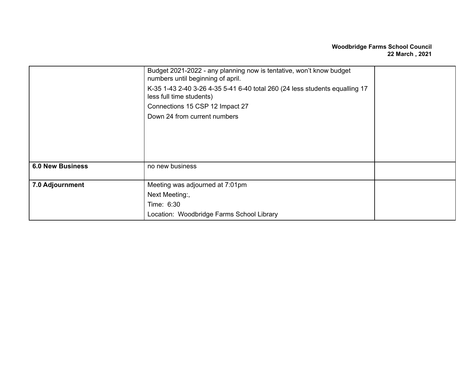## **Woodbridge Farms School Council 22 March , 2021**

|                         | Budget 2021-2022 - any planning now is tentative, won't know budget<br>numbers until beginning of april. |  |  |  |  |
|-------------------------|----------------------------------------------------------------------------------------------------------|--|--|--|--|
|                         | K-35 1-43 2-40 3-26 4-35 5-41 6-40 total 260 (24 less students equalling 17<br>less full time students)  |  |  |  |  |
|                         | Connections 15 CSP 12 Impact 27                                                                          |  |  |  |  |
|                         | Down 24 from current numbers                                                                             |  |  |  |  |
|                         |                                                                                                          |  |  |  |  |
|                         |                                                                                                          |  |  |  |  |
|                         |                                                                                                          |  |  |  |  |
|                         |                                                                                                          |  |  |  |  |
| <b>6.0 New Business</b> | no new business                                                                                          |  |  |  |  |
|                         |                                                                                                          |  |  |  |  |
| 7.0 Adjournment         | Meeting was adjourned at 7:01pm                                                                          |  |  |  |  |
|                         | Next Meeting:,                                                                                           |  |  |  |  |
|                         | Time: 6:30                                                                                               |  |  |  |  |
|                         | Location: Woodbridge Farms School Library                                                                |  |  |  |  |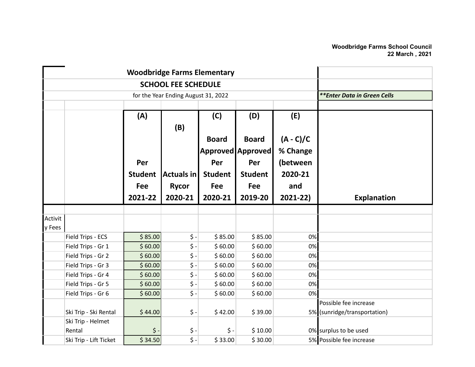|         |                        |                             |                            | <b>Woodbridge Farms Elementary</b> |                     |             |                              |
|---------|------------------------|-----------------------------|----------------------------|------------------------------------|---------------------|-------------|------------------------------|
|         |                        |                             | <b>SCHOOL FEE SCHEDULE</b> |                                    |                     |             |                              |
|         |                        | **Enter Data in Green Cells |                            |                                    |                     |             |                              |
|         |                        |                             |                            |                                    |                     |             |                              |
|         |                        | (A)                         |                            | (C)                                | (D)                 | (E)         |                              |
|         |                        |                             | (B)                        |                                    |                     |             |                              |
|         |                        |                             |                            | <b>Board</b>                       | <b>Board</b>        | $(A - C)/C$ |                              |
|         |                        |                             |                            |                                    | Approved   Approved | % Change    |                              |
|         |                        | Per                         |                            | Per                                | Per                 | (between    |                              |
|         |                        |                             |                            |                                    |                     | 2020-21     |                              |
|         |                        | <b>Student</b>              | <b>Actuals in</b>          | <b>Student</b>                     | <b>Student</b>      |             |                              |
|         |                        | Fee                         | <b>Rycor</b>               | Fee                                | Fee                 | and         |                              |
|         |                        | 2021-22                     | 2020-21                    | 2020-21                            | 2019-20             | $2021 - 22$ | <b>Explanation</b>           |
|         |                        |                             |                            |                                    |                     |             |                              |
| Activit |                        |                             |                            |                                    |                     |             |                              |
| y Fees  |                        |                             |                            |                                    |                     |             |                              |
|         | Field Trips - ECS      | \$85.00                     | \$ -                       | \$85.00                            | \$85.00             | 0%          |                              |
|         | Field Trips - Gr 1     | \$60.00                     | $\zeta$ -                  | \$60.00                            | \$60.00             | 0%          |                              |
|         | Field Trips - Gr 2     | \$60.00                     | $\zeta$ -                  | \$60.00                            | \$60.00             | 0%          |                              |
|         | Field Trips - Gr 3     | \$60.00                     | $\zeta$ -                  | \$60.00                            | \$60.00             | 0%          |                              |
|         | Field Trips - Gr 4     | \$60.00                     | $\boldsymbol{\dot{S}}$ -   | \$60.00                            | \$60.00             | 0%          |                              |
|         | Field Trips - Gr 5     | \$60.00                     | $\zeta$ -                  | \$60.00                            | \$60.00             | 0%          |                              |
|         | Field Trips - Gr 6     | \$60.00                     | $\zeta$ -                  | \$60.00                            | \$60.00             | 0%          |                              |
|         |                        |                             |                            |                                    |                     |             | Possible fee increase        |
|         | Ski Trip - Ski Rental  | \$44.00                     | $\zeta$ -                  | \$42.00                            | \$39.00             |             | 5% (sunridge/transportation) |
|         | Ski Trip - Helmet      |                             |                            |                                    |                     |             |                              |
|         | Rental                 | \$                          | $\zeta$ -                  | \$ -                               | \$10.00             |             | 0% surplus to be used        |
|         | Ski Trip - Lift Ticket | \$34.50                     | $\overline{\xi}$ -         | \$33.00                            | \$30.00             |             | 5% Possible fee increase     |